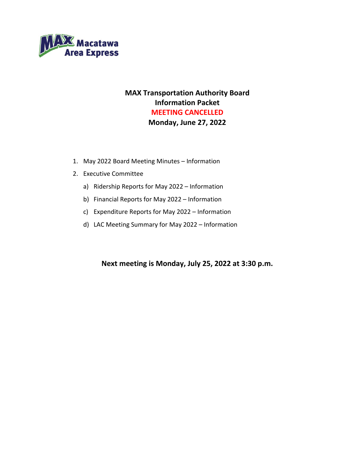

# **MAX Transportation Authority Board Information Packet MEETING CANCELLED Monday, June 27, 2022**

- 1. May 2022 Board Meeting Minutes Information
- 2. Executive Committee
	- a) Ridership Reports for May 2022 Information
	- b) Financial Reports for May 2022 Information
	- c) Expenditure Reports for May 2022 Information
	- d) LAC Meeting Summary for May 2022 Information

# **Next meeting is Monday, July 25, 2022 at 3:30 p.m.**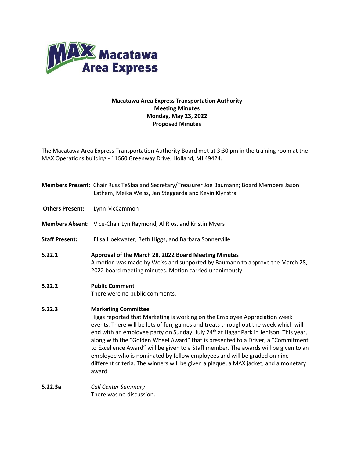

# **Macatawa Area Express Transportation Authority Meeting Minutes Monday, May 23, 2022 Proposed Minutes**

The Macatawa Area Express Transportation Authority Board met at 3:30 pm in the training room at the MAX Operations building - 11660 Greenway Drive, Holland, MI 49424.

|                        | Members Present: Chair Russ TeSlaa and Secretary/Treasurer Joe Baumann; Board Members Jason<br>Latham, Meika Weiss, Jan Steggerda and Kevin Klynstra                                                                                                                                                                                                                                                                                                                                                                                                                                                                                                         |
|------------------------|--------------------------------------------------------------------------------------------------------------------------------------------------------------------------------------------------------------------------------------------------------------------------------------------------------------------------------------------------------------------------------------------------------------------------------------------------------------------------------------------------------------------------------------------------------------------------------------------------------------------------------------------------------------|
| <b>Others Present:</b> | Lynn McCammon                                                                                                                                                                                                                                                                                                                                                                                                                                                                                                                                                                                                                                                |
|                        | Members Absent: Vice-Chair Lyn Raymond, Al Rios, and Kristin Myers                                                                                                                                                                                                                                                                                                                                                                                                                                                                                                                                                                                           |
| <b>Staff Present:</b>  | Elisa Hoekwater, Beth Higgs, and Barbara Sonnerville                                                                                                                                                                                                                                                                                                                                                                                                                                                                                                                                                                                                         |
| 5.22.1                 | Approval of the March 28, 2022 Board Meeting Minutes<br>A motion was made by Weiss and supported by Baumann to approve the March 28,<br>2022 board meeting minutes. Motion carried unanimously.                                                                                                                                                                                                                                                                                                                                                                                                                                                              |
| 5.22.2                 | <b>Public Comment</b><br>There were no public comments.                                                                                                                                                                                                                                                                                                                                                                                                                                                                                                                                                                                                      |
| 5.22.3                 | <b>Marketing Committee</b><br>Higgs reported that Marketing is working on the Employee Appreciation week<br>events. There will be lots of fun, games and treats throughout the week which will<br>end with an employee party on Sunday, July 24 <sup>th</sup> at Hagar Park in Jenison. This year,<br>along with the "Golden Wheel Award" that is presented to a Driver, a "Commitment<br>to Excellence Award" will be given to a Staff member. The awards will be given to an<br>employee who is nominated by fellow employees and will be graded on nine<br>different criteria. The winners will be given a plaque, a MAX jacket, and a monetary<br>award. |
| 5.22.3a                | <b>Call Center Summary</b><br>There was no discussion.                                                                                                                                                                                                                                                                                                                                                                                                                                                                                                                                                                                                       |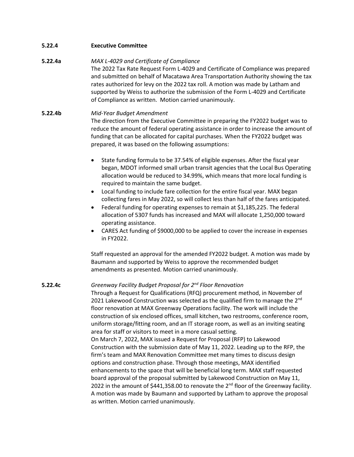**5.22.4 Executive Committee**

## **5.22.4a** *MAX L-4029 and Certificate of Compliance*

The 2022 Tax Rate Request Form L-4029 and Certificate of Compliance was prepared and submitted on behalf of Macatawa Area Transportation Authority showing the tax rates authorized for levy on the 2022 tax roll. A motion was made by Latham and supported by Weiss to authorize the submission of the Form L-4029 and Certificate of Compliance as written. Motion carried unanimously.

# **5.22.4b** *Mid-Year Budget Amendment* The direction from the Executive Committee in preparing the FY2022 budget was to reduce the amount of federal operating assistance in order to increase the amount of funding that can be allocated for capital purchases. When the FY2022 budget was prepared, it was based on the following assumptions:

- State funding formula to be 37.54% of eligible expenses. After the fiscal year began, MDOT informed small urban transit agencies that the Local Bus Operating allocation would be reduced to 34.99%, which means that more local funding is required to maintain the same budget.
- Local funding to include fare collection for the entire fiscal year. MAX began collecting fares in May 2022, so will collect less than half of the fares anticipated.
- Federal funding for operating expenses to remain at \$1,185,225. The federal allocation of 5307 funds has increased and MAX will allocate 1,250,000 toward operating assistance.
- CARES Act funding of \$9000,000 to be applied to cover the increase in expenses in FY2022.

Staff requested an approval for the amended FY2022 budget. A motion was made by Baumann and supported by Weiss to approve the recommended budget amendments as presented. Motion carried unanimously.

# **5.22.4c** *Greenway Facility Budget Proposal for 2nd Floor Renovation*

as written. Motion carried unanimously.

Through a Request for Qualifications (RFQ) procurement method, in November of 2021 Lakewood Construction was selected as the qualified firm to manage the 2<sup>nd</sup> floor renovation at MAX Greenway Operations facility. The work will include the construction of six enclosed offices, small kitchen, two restrooms, conference room, uniform storage/fitting room, and an IT storage room, as well as an inviting seating area for staff or visitors to meet in a more casual setting. On March 7, 2022, MAX issued a Request for Proposal (RFP) to Lakewood Construction with the submission date of May 11, 2022. Leading up to the RFP, the firm's team and MAX Renovation Committee met many times to discuss design options and construction phase. Through those meetings, MAX identified enhancements to the space that will be beneficial long term. MAX staff requested board approval of the proposal submitted by Lakewood Construction on May 11, 2022 in the amount of \$441,358.00 to renovate the  $2^{nd}$  floor of the Greenway facility. A motion was made by Baumann and supported by Latham to approve the proposal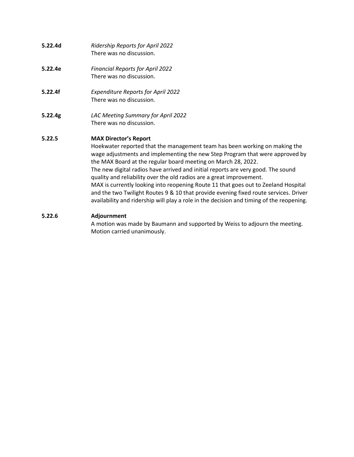- **5.22.4d** *Ridership Reports for April 2022* There was no discussion.
- **5.22.4e** *Financial Reports for April 2022* There was no discussion.
- **5.22.4f** *Expenditure Reports for April 2022* There was no discussion.
- **5.22.4g** *LAC Meeting Summary for April 2022* There was no discussion.

# **5.22.5 MAX Director's Report**

Hoekwater reported that the management team has been working on making the wage adjustments and implementing the new Step Program that were approved by the MAX Board at the regular board meeting on March 28, 2022. The new digital radios have arrived and initial reports are very good. The sound quality and reliability over the old radios are a great improvement. MAX is currently looking into reopening Route 11 that goes out to Zeeland Hospital and the two Twilight Routes 9 & 10 that provide evening fixed route services. Driver availability and ridership will play a role in the decision and timing of the reopening.

# **5.22.6 Adjournment**

A motion was made by Baumann and supported by Weiss to adjourn the meeting. Motion carried unanimously.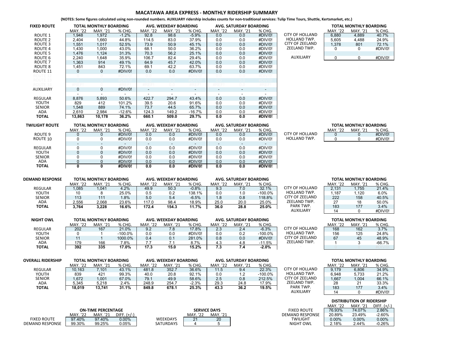#### **MACATAWA AREA EXPRESS ‐ MONTHLY RIDERSHIP SUMMARY**

(NOTES: Some figures calculated using non-rounded numbers. AUXILIARY ridership includes counts for non-traditional services: Tulip Time Tours, Shuttle, Kertsmarket, etc.)

| <b>FIXED ROUTE</b> |              | TOTAL MONTHLY BOARDING   |          |                          | AVG. WEEKDAY BOARDING    |                          |                          | AVG. SATURDAY BOARDING   |                          |                     |          | TOTAL MONTHLY BOARDING |        |
|--------------------|--------------|--------------------------|----------|--------------------------|--------------------------|--------------------------|--------------------------|--------------------------|--------------------------|---------------------|----------|------------------------|--------|
|                    | MAY. '22     | MAY. '21                 | % CHG.   | MAY. '22                 | <b>MAY.</b> '21          | % CHG.                   | MAY. '22                 | MAY. '21                 | % CHG.                   |                     | MAY. '22 | MAY. '21               | % CHG. |
| ROUTE 1            | 1,948        | 1,972                    | $-1.2%$  | 92.8                     | 98.6                     | $-5.9%$                  | 0.0                      | 0.0                      | #DIV/0!                  | CITY OF HOLLAND     | 6,880    | 4,889                  | 40.7%  |
| ROUTE <sub>2</sub> | 2,404        | 1,660                    | 44.8%    | 114.5                    | 83.0                     | 37.9%                    | 0.0                      | 0.0                      | #DIV/0!                  | <b>HOLLAND TWP.</b> | 5,605    | 4,488                  | 24.9%  |
| ROUTE 3            | 1,551        | 1,017                    | 52.5%    | 73.9                     | 50.9                     | 45.1%                    | 0.0                      | 0.0                      | #DIV/0!                  | CITY OF ZEELAND     | 1,378    | 801                    | 72.1%  |
| ROUTE 4            | 1,430        | 1,000                    | 43.0%    | 68.1                     | 50.0                     | 36.2%                    | 0.0                      | 0.0                      | #DIV/0!                  | ZEELAND TWP.        | 0        | 0                      | #DIV/0 |
| ROUTE <sub>5</sub> | 1,476        | 1,124                    | 31.3%    | 70.3                     | 56.2                     | 25.1%                    | 0.0                      | 0.0                      | #DIV/0!                  |                     |          |                        |        |
| ROUTE 6            | 2,240        | 1.648                    | 35.9%    | 106.7                    | 82.4                     | 29.4%                    | 0.0                      | 0.0                      | #DIV/0!                  | <b>AUXILIARY</b>    | 0        | 0                      | #DIV/0 |
| ROUTE <sub>7</sub> | 1,363        | 914                      | 49.1%    | 64.9                     | 45.7                     | 42.0%                    | 0.0                      | 0.0                      | #DIV/0!                  |                     |          |                        |        |
| ROUTE 8            | 1,451        | 843                      | 72.1%    | 69.1                     | 42.2                     | 63.7%                    | 0.0                      | 0.0                      | #DIV/0!                  |                     |          |                        |        |
| ROUTE 11           | 0            | 0                        | #DIV/0!  | 0.0                      | 0.0                      | #DIV/0!                  | 0.0                      | 0.0                      | #DIV/0!                  |                     |          |                        |        |
| ROUTE 12           |              |                          |          |                          | 0.0                      | #DIV/0                   | 0.0                      | 0.0                      | #DIV/0!                  |                     |          |                        |        |
| ROUTE 13           |              |                          |          |                          |                          | ĐIV/0                    |                          |                          |                          |                     |          |                        |        |
| ROUTE 14           | <b>XREF!</b> |                          | #REF!    | #REF!                    | 0.0                      | #REF!                    | #REF!                    | 0.0                      | #REF!                    |                     |          |                        |        |
| <b>AUXILIARY</b>   | 0            | 0                        | #DIV/0!  | $\sim$                   | $\overline{\phantom{a}}$ | $\sim$                   | $\overline{\phantom{0}}$ | $\overline{\phantom{a}}$ | $\overline{\phantom{a}}$ |                     |          |                        |        |
|                    | ۰.           | $\overline{\phantom{a}}$ |          | $\overline{\phantom{a}}$ | $\overline{\phantom{a}}$ | $\overline{\phantom{a}}$ | $\overline{\phantom{a}}$ |                          | $\overline{\phantom{a}}$ |                     |          |                        |        |
| <b>REGULAR</b>     | 8,876        | 5,893                    | 50.6%    | 422.7                    | 294.7                    | 43.4%                    | 0.0                      | 0.0                      | #DIV/0!                  |                     |          |                        |        |
| YOUTH              | 829          | 412                      | 101.2%   | 39.5                     | 20.6                     | 91.6%                    | 0.0                      | 0.0                      | #DIV/0!                  |                     |          |                        |        |
| <b>SENIOR</b>      | 1,548        | 889                      | 74.1%    | 73.7                     | 44.5                     | 65.7%                    | 0.0                      | 0.0                      | #DIV/0!                  |                     |          |                        |        |
| ADA                | 2,610        | 2,984                    | $-12.6%$ | 124.3                    | 149.2                    | $-16.7%$                 | 0.0                      | 0.0                      | #DIV/0!                  |                     |          |                        |        |
| TOTAL              | 13,863       | 10.178                   | 36.2%    | 660.1                    | 509.0                    | 29.7%                    | 0.0                      | 0.0                      | #DIV/0!                  |                     |          |                        |        |

|                       |          | TOTAL MONTHLY BOARDING |         |
|-----------------------|----------|------------------------|---------|
|                       | MAY. '22 | MAY. '21               | % CHG.  |
| <b>ITY OF HOLLAND</b> | 6.880    | 4.889                  | 40.7%   |
| <b>HOLLAND TWP.</b>   | 5.605    | 4.488                  | 24.9%   |
| CITY OF ZEELAND       | 1,378    | 801                    | 72.1%   |
| ZEELAND TWP.          |          | ი                      | #DIV/0! |
| PARK TWP.             |          |                        |         |
| <b>AUXILIARY</b>      |          |                        | #DIV/0! |

| <b>TWILIGHT ROUTE</b> |          | <b>TOTAL MONTHLY BOARDING</b> |                          |                 | AVG. WEEKDAY BOARDING |         |          | <b>AVG. SATURDAY BOARDING</b> |         |                        |          | <b>TOTAL MONTHLY BOARDING</b> |        |
|-----------------------|----------|-------------------------------|--------------------------|-----------------|-----------------------|---------|----------|-------------------------------|---------|------------------------|----------|-------------------------------|--------|
|                       | MAY. '22 | MAY. '21                      | % CHG.                   | <b>MAY.</b> '22 | <b>MAY.</b> '21       | % CHG.  | MAY. '22 | MAY. '21                      | % CHG.  |                        | MAY. '22 | MAY. '21                      | % CHG. |
| ROUTE 9               |          |                               | #DIV/0!                  | 0.0             | 0.0                   | #DIV/0! | 0.0      | 0.0                           | #DIV/0! | <b>CITY OF HOLLAND</b> |          |                               | #DIV/0 |
| ROUTE 10              |          |                               | #DIV/0!                  | 0.0             | 0.0                   | #DIV/0! | 0.0      | 0.0                           | #DIV/0! | <b>HOLLAND TWP.</b>    |          |                               | #DIV/0 |
|                       |          |                               | $\overline{\phantom{0}}$ |                 |                       |         |          | -                             |         |                        |          |                               |        |
| <b>REGULAR</b>        |          |                               | #DIV/0!                  | 0.0             | 0.0                   | #DIV/0! | 0.0      | 0.0                           | #DIV/0! |                        |          |                               |        |
| YOUTH                 |          |                               | #DIV/0!                  | 0.0             | 0.0                   | #DIV/0! | 0.0      | 0.0                           | #DIV/0! |                        |          |                               |        |
| <b>SENIOR</b>         |          |                               | #DIV/0!                  | 0.0             | 0.0                   | #DIV/0! | 0.0      | 0.0                           | #DIV/0! |                        |          |                               |        |
| ADA                   |          |                               | #DIV/0!                  | 0.0             | 0.0                   | #DIV/0! | 0.0      | 0.0                           | #DIV/0! |                        |          |                               |        |
| <b>TOTAL</b>          |          |                               | #DIV/0!                  | 0.0             | 0.0                   | #DIV/0! | 0.0      | 0.0                           | #DIV/0! |                        |          |                               |        |

|               |                | <b>TOTAL MONTHLY BOARDING</b> |         |
|---------------|----------------|-------------------------------|---------|
|               | <b>MAY '22</b> | <b>MAY '21</b>                | % CHG.  |
| TY OF HOLLAND |                |                               | #DIV/0! |
| IOLLAND TWP.  |                | n                             | #DIV/0! |

| <b>DEMAND RESPONSE</b> |          | <b>TOTAL MONTHLY BOARDING</b> |         |          | AVG. WEEKDAY BOARDING |         |          | AVG. SATURDAY BOARDING |            |                     |          | <b>TOTAL MONTHLY BOARDING</b> |         |
|------------------------|----------|-------------------------------|---------|----------|-----------------------|---------|----------|------------------------|------------|---------------------|----------|-------------------------------|---------|
|                        | MAY. '22 | . '21<br>MAY.                 | % CHG.  | MAY. '22 | <b>MAY.</b> '21       | % CHG.  | MAY. '22 | MAY.                   | % CHG.     |                     | MAY. '22 | MAY.                          | % CHG.  |
| <b>REGULAR</b>         | .085     | 1.041                         | 4.2%    | 49.9     | 50.3                  | $-0.8%$ | 9.3      | 7.0                    | 32.1%      | CITY OF HOLLAND     | 2.131    | .755                          | 21.4%   |
| YOUTH                  | 10       | 25.0%                         |         | 0.5      | 0.2                   | 138.1%  | 0.0      |                        | $-100.0\%$ | <b>HOLLAND TWP.</b> | 187،،    | .120                          | 6.0%    |
| <b>SENIOR</b>          | 113      | 111                           | $1.8\%$ | 5.0      | 5.4                   | $-6.5%$ | 1.8      | 0.8                    | 118.8%     | CITY OF ZEELAND     | 222      | 158                           | 40.5%   |
| ADA                    | 2.556    | 2.068                         | 23.6%   | 117.0    | 98.4                  | 18.9%   | 25.0     | 20.0                   | 25.0%      | ZEELAND TWP.        | 27       | 18                            | 50.0%   |
| ΤΟΤΑL                  | 3.764    | 16.6%<br>3.228                |         | 172.4    | 154.3                 | 11.7%   | 36.0     | 28.8                   | 25.0%      | PARK TWP.           | 183      | 177                           | 3.4%    |
|                        |          |                               |         |          |                       |         |          |                        |            | AUXILIARY           | 14       |                               | #DIV/0! |

| <b>NIGHT OWL</b> |      | <b>TOTAL MONTHLY BOARDING</b> |           |            | AVG. WEEKDAY BOARDING |          |              | AVG. SATURDAY BOARDING |            |                        |     | TOTAL MONTHLY BOARDING |          |
|------------------|------|-------------------------------|-----------|------------|-----------------------|----------|--------------|------------------------|------------|------------------------|-----|------------------------|----------|
|                  | MAY. | MA'                           | % CHG     | נכי<br>MAY | '21<br>MAY            | % CHG.   | ר כי<br>MAY. | '21<br>MAY             | % CHG.     |                        | MAY | MAY.                   | % CHG.   |
| <b>REGULAR</b>   | 202  | 167                           | 21.0%     | 9.2        | 8.'                   | $17.8\%$ | 2.3          | 2.4                    | $-6.3%$    | <b>CITY OF HOLLAND</b> | 168 | 162                    | 3.7%     |
| YOUTH            |      |                               | $-100.0%$ | 0.0        | 0.0                   | #DIV/0!  | 0.0          | 0.2                    | $-100.0\%$ | <b>HOLLAND TWP.</b>    | 156 | 125                    | 24.8%    |
| <b>SENIOR</b>    |      |                               | 1000.0%   | 0.4        | 0.1                   | 281.0%   | 0.8          | 0.0                    | #DIV/0!    | <b>CITY OF ZEELAND</b> | 67  | 45                     | 48.9%    |
| <b>ADA</b>       | 170  | 166                           | 7.8%      |            |                       | 8.7%     | ៱ລ           | 4.8                    | -11.5%     | ZEELAND TWP.           |     |                        | $-66.7%$ |
| <b>TOTAL</b>     | 392  | 335                           | 17.0%     | 17.3       | 15.0                  | 15.2%    | -<br>ن. ا    |                        | -2.0%      |                        |     |                        |          |

| <b>OVERALL RIDERSHIP</b> |             | <b>TOTAL MONTHLY BOARDING</b> |        |          | AVG. WEEKDAY BOARDING |         |                 | AVG. SATURDAY BOARDING |          |                        |                 | <b>TOTAL MONTHLY BOARDING</b> |        |
|--------------------------|-------------|-------------------------------|--------|----------|-----------------------|---------|-----------------|------------------------|----------|------------------------|-----------------|-------------------------------|--------|
|                          | MAY.<br>'22 | '21<br>MAY.                   | % CHG. | MAY. '22 | MAY. '21              | % CHG.  | <b>MAY.</b> '22 | MAY.                   | % CHG.   |                        | <b>MAY.</b> '22 | MAY.<br>'21                   | % CHG  |
| REGULAR                  | 10.163      | $^{\prime}$ .101              | 43.1%  | 481.8    | 352.7                 | 36.6%   | 11.5            | 9.4                    | 22.3%    | <b>CITY OF HOLLAND</b> | 9.179           | 6.806                         | 34.9%  |
| YOUTH                    | 839         | 99.3%<br>421                  |        | 40.0     | 20.8                  | 92.1%   | 0.0             |                        | -100.0%  | <b>HOLLAND TWP.</b>    | 6.948           | 5.733                         | 21.2%  |
| <b>SENIOR</b>            | .672        | 1,001                         | 67.0%  | 79.1     | 49.9                  | 58.6%   | 2.5             | 0.8                    | 212.5%   | CITY OF ZEELAND        | 1.667           | 1.004                         | 66.1%  |
| ADA                      | 5.345       | 5.218                         | 2.4%   | 248.9    | 254.7                 | $-2.3%$ | 29.3            | 24.8                   | $'7.9\%$ | ZEELAND TWP.           | 28              | $\mathcal{L}$                 | 33.3%  |
| <b>TOTAL</b>             | 18.019      | 31.1%<br>13.741               |        | 849.8    | 678.1                 | 25.3%   | 43.3            | 36.2                   | 19.5%    | PARK TWP.              | 183             | 177                           | 3.4%   |
|                          |             |                               |        |          |                       |         |                 |                        |          | <b>AUXILIARY</b>       |                 |                               | #DIV/0 |

|                        |             | <b>ON-TIME PERCENTAGE</b> |               |                  |                                | <b>SERVICE DAYS</b> | <b>FIXED ROUTE</b>     | 76.93%   | 74.07%   | 2.86%    |
|------------------------|-------------|---------------------------|---------------|------------------|--------------------------------|---------------------|------------------------|----------|----------|----------|
|                        | רחו<br>MAY. | '21<br>MAY.               | DIFF. $(+/-)$ |                  | ר בי<br>MAY.<br>$\overline{L}$ | MAY. '21            | <b>DEMAND RESPONSE</b> | 20.89%   | 23.49%   | $-2.60%$ |
| <b>FIXED ROUTE</b>     | 97.40%      | 97.40%                    | $0.00\%$      | <b>WEEKDAYS</b>  | $\Omega$                       |                     | <b>TWILIGHT</b>        | $0.00\%$ | $0.00\%$ | $0.00\%$ |
| <b>DEMAND RESPONSE</b> | 99.30%      | 99.25%                    | ა.05%         | <b>SATURDAYS</b> |                                |                     | <b>NIGHT OWL</b>       | 2.18%    | 2.44%    | 0.26%    |

|                        |          | <b>DISTRIBUTION OF RIDERSHIP</b> |                  |
|------------------------|----------|----------------------------------|------------------|
|                        | MAY. '22 | MAY. '21                         | $D$ IFF. $(+/-)$ |
| <b>FIXED ROUTE</b>     | 76.93%   | 74.07%                           | 2.86%            |
| <b>DEMAND RESPONSE</b> | 20.89%   | 23.49%                           | $-2.60%$         |
| <b>TWILIGHT</b>        | $0.00\%$ | $0.00\%$                         | $0.00\%$         |
| <b>NIGHT OWL</b>       | 2.18%    | 2.44%                            | $-0.26%$         |

14 0 #DIV/0!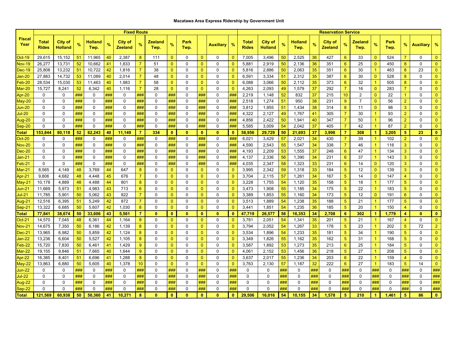## **Macatawa Area Express Ridership by Government Unit**

|                         |                       |                                  |          |                        |          | <b>Fixed Route</b>        |                  |                        |                                |              |                              |                  |                              |                              |                           |          |                        |          | <b>Reservation Service</b>       |                 |                        |                      |              |                |                  |                              |
|-------------------------|-----------------------|----------------------------------|----------|------------------------|----------|---------------------------|------------------|------------------------|--------------------------------|--------------|------------------------------|------------------|------------------------------|------------------------------|---------------------------|----------|------------------------|----------|----------------------------------|-----------------|------------------------|----------------------|--------------|----------------|------------------|------------------------------|
| <b>Fiscal</b><br>Year   | Total<br><b>Rides</b> | <b>City of</b><br><b>Holland</b> | %        | <b>Holland</b><br>Twp. | $\%$     | City of<br><b>Zeeland</b> | %                | <b>Zeeland</b><br>Twp. | %                              | Park<br>Twp. |                              | <b>Auxiliary</b> | $\%$                         | <b>Total</b><br><b>Rides</b> | City of<br><b>Holland</b> | %        | <b>Holland</b><br>Twp. | $\%$     | <b>City of</b><br><b>Zeeland</b> | %               | <b>Zeeland</b><br>Twp. | %                    | Park<br>Twp. | %              | <b>Auxiliary</b> | $\frac{9}{6}$                |
| <b>Oct-19</b>           | 29,615                | 15,152                           | 51       | 11,965                 | 40       | 2,387                     | 8                | 111                    | $\mathbf{0}$                   | 0            | $\Omega$                     | 0                | $\Omega$                     | 7,005                        | 3,496                     | 50       | 2,525                  | 36       | 427                              | 6               | 33                     | $\Omega$             | 524          | 7              | $\Omega$         | $\mathbf{0}$                 |
| <b>Nov-19</b>           | 26,277                | 13,731                           | 52       | 10,662                 | 41       | 1,833                     | $\overline{7}$   | 51                     | $\mathbf{0}$                   | 0            | $\overline{0}$               | 0                | $\mathbf{0}$                 | 5,881                        | 2,919                     | 50       | 2,136                  | 36       | 351                              | 6               | 25                     | $\mathbf{0}$         | 450          | 8              | $\mathbf 0$      | $\mathbf{0}$                 |
| $Dec-19$                | 25,808                | 13,232                           | 51       | 10,722                 | 42       | 1,816                     | $\overline{7}$   | 38                     | $\mathbf{0}$                   | 0            | $\mathbf{0}$                 | 0                | $\mathbf{0}$                 | 5,816                        | 2,886                     | 50       | 2,063                  | 35       | 351                              | 6               | 30                     | $\blacktriangleleft$ | 463          | 8              | 23               | $\mathbf{0}$                 |
| Jan-20                  | 27,883                | 14,732                           | 53       | 11,089                 | 40       | 2,014                     | $\overline{7}$   | 48                     | $\mathbf{0}$                   | 0            | $\mathbf{0}$                 | 0                | $\mathbf{0}$                 | 6,591                        | 3,334                     | 51       | 2,312                  | 35       | 387                              | 6               | 30                     | $\mathbf{0}$         | 528          | 8              | $\mathbf 0$      | $\mathbf{0}$                 |
| $Feb-20$                | 28,534                | 15,030                           | 53       | 11,463                 | 40       | 1,983                     | $\overline{7}$   | 58                     | $\mathbf{0}$                   | 0            | $\mathbf{0}$                 | 0                | $\mathbf{0}$                 | 6,088                        | 3,066                     | 50       | 2,112                  | 35       | 373                              | 6               | 32                     | $\blacktriangleleft$ | 505          | 8              | 0                | $\mathbf{0}$                 |
| Mar-20                  | 15,727                | 8,241                            | 52       | 6,342                  | 40       | 1,116                     | $\overline{7}$   | 28                     | $\Omega$                       | 0            | $\overline{0}$               | 0                | $\mathbf{0}$                 | 4,263                        | 2,093                     | 49       | 1,579                  | 37       | 292                              | $\overline{7}$  | 16                     | $\mathbf{0}$         | 283          | $\overline{7}$ | $\Omega$         | $\Omega$                     |
| Apr-20                  | 0                     | 0                                | ###      | 0                      | ###      | 0                         | ###              | 0                      | ###                            | 0            | ###                          | $\mathbf 0$      | ###                          | 2,219                        | 1,148                     | 52       | 832                    | 37       | 215                              | 10              | $\overline{2}$         | $\mathbf{0}$         | 22           | $\mathbf{1}$   | 0                | $\mathbf{0}$                 |
| May-20                  | 0                     | $\mathbf 0$                      | ###      | 0                      | ###      | $\mathbf 0$               | ###              | 0                      | ###                            | 0            | ###                          | $\mathbf 0$      | ###                          | 2,518                        | 1,274                     | 51       | 950                    | 38       | 231                              | 9               | $\overline{7}$         | $\mathbf{0}$         | 56           | $\overline{2}$ | $\mathbf{0}$     | $\mathbf{0}$                 |
| <b>Jun-20</b>           | $\mathbf 0$           | $\mathbf 0$                      | ###      | 0                      | ###      | $\mathbf 0$               | ###              | 0                      | ###                            | $\mathbf 0$  | ###                          | $\mathbf 0$      | ###                          | 3,812                        | 1,955                     | 51       | 1,434                  | 38       | 314                              | 8               | 11                     | $\mathbf{0}$         | 98           | 3              | $\mathbf 0$      | $\mathbf{0}$                 |
| Jul-20                  | $\Omega$              | $\Omega$                         | ###      | $\Omega$               | ###      | $\Omega$                  | ###              | $\mathbf 0$            | ###                            | $\Omega$     | ###                          | $\mathbf 0$      | ###                          | 4,322                        | 2,127                     | 49       | 1,767                  | 41       | 305                              | $\overline{7}$  | 30                     | $\overline{1}$       | 93           | $\overline{2}$ | $\Omega$         | $\overline{0}$               |
| Aug-20                  | 0                     | 0                                | ###      | $\Omega$               | ###      | 0                         | ###              | 0                      | ###                            | 0            | ###                          | 0                | ###                          | 4,856                        | 2,422                     | 50       | 1,941                  | 40       | 347                              | $\overline{7}$  | 50                     | -1                   | 96           | $\overline{2}$ | $\Omega$         | $\mathbf{0}$                 |
| Sep-20                  | $\mathbf{0}$          | $\Omega$                         | ###      | $\Omega$               | ###      | $\Omega$                  | ###              | 0                      | ###                            | 0            | ###                          | 0                | ###                          | 5,585                        | 3,009                     | 54       | 2,042                  | 37       | 405                              | $\overline{7}$  | 42                     | $\blacktriangleleft$ | 87           | $\overline{2}$ | $\Omega$         | $\mathbf{0}$                 |
| Total                   | 153,844               | 80,118                           | 52       | 62,243                 | 40       | 11,149                    | $\overline{7}$   | 334                    | $\mathbf{0}$                   | $\mathbf{0}$ | $\mathbf{0}$                 | $\mathbf{0}$     | $\mathbf{0}$                 | 58,956                       | 29,729                    | 50       | 21,693                 | 37       | 3,998                            | $\overline{7}$  | 308                    | 1                    | 3,205        | 5              | 23               | $\mathbf{0}$                 |
| <b>Oct-20</b>           | 0                     | 0                                | ###      | 0                      | ###      | 0                         | ###              | 0                      | ###                            | 0            | ###                          | $\mathbf 0$      | ###                          | 6,021                        | 3,429                     | 57       | 2,021                  | 34       | 430                              | 7               | 39                     | $\blacktriangleleft$ | 102          | $\overline{2}$ | $\mathbf 0$      | $\mathbf{0}$                 |
| <b>Nov-20</b>           | 0                     | $\mathbf 0$                      | ###      | 0                      | ###      | 0                         | ###              | 0                      | ###                            | 0            | ###                          | $\mathbf 0$      | ###                          | 4,590                        | 2,543                     | 55       | 1,547                  | 34       | 338                              | $\overline{7}$  | 46                     | -1                   | 116          | 3              | $\mathbf 0$      | $\mathbf{0}$                 |
| $Dec-20$                | $\mathbf 0$           | $\mathbf 0$                      | ###      | 0                      | ###      | $\mathbf 0$               | ###              | 0                      | ###                            | 0            | ###                          | $\mathbf 0$      | ###                          | 4,193                        | 2,209                     | 53       | 1,555                  | 37       | 248                              | $6\phantom{1}6$ | 47                     | $\blacktriangleleft$ | 134          | 3              | 0                | $\mathbf{0}$                 |
| Jan-21                  | 0                     | $\Omega$                         | ###      | $\Omega$               | ###      | $\Omega$                  | ###              | 0                      | ###                            | $\Omega$     | ###                          | 0                | ###                          | 4,137                        | 2,336                     | 56       | 1,390                  | 34       | 231                              | 6               | 37                     | $\overline{1}$       | 143          | 3              | $\Omega$         | $\mathbf{0}$                 |
| Feb-21                  | $\mathbf{0}$          | $\mathbf 0$                      | ###      | $\mathbf{0}$           | ###      | $\Omega$                  | ###              | 0                      | ###                            | 0            | ###                          | $\mathbf 0$      | ###                          | 4,035                        | 2,347                     | 58       | 1,323                  | 33       | 231                              | 6               | 14                     | $\mathbf{0}$         | 120          | 3              | $\mathbf 0$      | $\mathbf{0}$                 |
| $Mar-21$                | 8,565                 | 4,149                            | 48       | 3,769                  | 44       | 647                       | 8                | 0                      | $\overline{0}$                 | 0            | $\mathbf 0$                  | $\pmb{0}$        | $\mathbf{0}$                 | 3,995                        | 2,342                     | 59       | 1,318                  | 33       | 184                              | 5               | 12                     | $\mathbf{0}$         | 139          | 3              | 0                | $\mathbf{0}$                 |
| Apr-21                  | 9,806                 | 4,682                            | 48       | 4,448                  | 45       | 676                       | $\overline{7}$   | $\mathbf 0$            | $\mathbf{0}$                   | 0            | $\mathbf{0}$                 | $\mathbf 0$      | $\mathbf{0}$                 | 3,704                        | 2,115                     | 57       | 1,261                  | 34       | 167                              | 5               | 14                     | $\mathbf{0}$         | 147          | $\overline{4}$ | $\mathbf 0$      | $\overline{0}$               |
| May-21                  | 10,178<br>11,669      | 4,889<br>5,973                   | 48<br>51 | 4,488                  | 44       | 801<br>713                | 8<br>$6^{\circ}$ | $\mathbf 0$<br>0       | $\overline{0}$<br>$\mathbf{0}$ | 0<br>0       | $\mathbf{0}$<br>$\mathbf{0}$ | $\mathbf 0$<br>0 | $\mathbf{0}$<br>$\mathbf{0}$ | 3,228<br>3,473               | 1,755                     | 54<br>55 | 1,120                  | 35<br>34 | 158<br>175                       | 5<br>5          | 18<br>22               | $\overline{1}$<br>-1 | 177<br>183   | 5<br>5         | $\Omega$<br>0    | $\mathbf{0}$<br>$\mathbf{0}$ |
| <b>Jun-21</b><br>Jul-21 | 11,785                | 5,901                            | 50       | 4,983<br>5,062         | 43<br>43 | 822                       | $\overline{7}$   | 0                      | $\mathbf{0}$                   | 0            | $\mathbf{0}$                 | 0                | $\mathbf{0}$                 | 3,389                        | 1,908<br>1,853            | 55       | 1,185<br>1,160         | 34       | 173                              | 5               | 12                     | $\mathbf{0}$         | 191          | 6              | $\Omega$         | $\mathbf{0}$                 |
| Aug-21                  | 12,516                | 6,395                            | 51       | 5,249                  | 42       | 872                       | $\overline{7}$   | 0                      | $\Omega$                       | 0            | $\mathbf{0}$                 | 0                | $\mathbf{0}$                 | 3,513                        | 1,889                     | 54       | 1,238                  | 35       | 188                              | 5               | 21                     | -1                   | 177          | 5              | $\Omega$         | $\Omega$                     |
| Sep-21                  | 13,322                | 6,685                            | 50       | 5,607                  | 42       | 1,030                     | 8                | $\mathbf 0$            | $\overline{0}$                 | 0            | $\mathbf{0}$                 | 0                | $\overline{0}$               | 3,441                        | 1,851                     | 54       | 1,235                  | 36       | 185                              | $\sqrt{5}$      | 20                     | $\blacktriangleleft$ | 150          | $\overline{4}$ | $\mathbf 0$      | $\mathbf{0}$                 |
| <b>Total</b>            | 77,841                | 38,674                           | 50       | 33,606                 | 43       | 5,561                     | $\overline{7}$   | $\mathbf{0}$           | $\mathbf{0}$                   | $\mathbf{0}$ | $\mathbf{0}$                 | $\mathbf{0}$     | $\mathbf{0}$                 | 47,719                       | 26,577                    | 56       | 16,353                 | 34       | 2,708                            | 6               | 302                    | 1                    | 1,779        | 4              | $\mathbf{0}$     | $\bullet$                    |
| Oct-21                  | 14,570                | 7,045                            | 48       | 6,361                  | 44       | 1,164                     | 8                | 0                      | $\mathbf{0}$                   | 0            | $\mathbf{0}$                 | $\mathbf 0$      | $\overline{0}$               | 3,781                        | 2,051                     | 54       | 1,341                  | 35       | 201                              | 5               | 21                     | $\blacktriangleleft$ | 167          | 4              | $\mathbf 0$      | $\mathbf{0}$                 |
| <b>Nov-21</b>           | 14,675                | 7,350                            | 50       | 6,186                  | 42       | 1,139                     | 8                | 0                      | $\Omega$                       | 0            | $\overline{0}$               | 0                | $\mathbf{0}$                 | 3,794                        | 2,052                     | 54       | 1,267                  | 33       | 178                              | 5               | 23                     | -1                   | 202          | 5              | 72               | $\overline{2}$               |
| $Dec-21$                | 13,965                | 6,982                            | 50       | 5,859                  | 42       | 1,124                     | 8                | $\mathbf 0$            | $\mathbf{0}$                   | 0            | $\mathbf{0}$                 | $\mathbf 0$      | $\mathbf{0}$                 | 3,534                        | 1,896                     | 54       | 1,233                  | 35       | 181                              | 5               | 34                     | $\blacktriangleleft$ | 190          | 5              | $\mathbf 0$      | $\mathbf{0}$                 |
| Jan-22                  | 13,236                | 6,604                            | 50       | 5,527                  | 42       | 1,105                     | 8                | 0                      | $\mathbf 0$                    | 0            | $\overline{0}$               | $\mathbf 0$      | $\mathbf{0}$                 | 3,349                        | 1,826                     | 55       | 1,162                  | 35       | 162                              | 5               | 31                     | -1                   | 168          | 5              | 0                | $\mathbf{0}$                 |
| $=$ eb-22               | 15,720                | 7,830                            | 50       | 6,461                  | 41       | 1,429                     | $9^{\circ}$      | $\mathbf 0$            | $\mathbf{0}$                   | 0            | $\overline{0}$               | 0                | $\mathbf{0}$                 | 3,587                        | 1,892                     | 53       | 1,273                  | 35       | 213                              | $6\phantom{1}$  | 25                     | -1                   | 184          | 5              | 0                | $\mathbf{0}$                 |
| Mar-22                  | 19,155                | 9,846                            | 51       | 7,665                  | 40       | 1,644                     | $9^{\circ}$      | $\mathbf 0$            | $\Omega$                       | 0            | $\overline{0}$               | $\mathbf 0$      | $\mathbf{0}$                 | 4,061                        | 2,152                     | 53       | 1,456                  | 36       | 218                              | 5               | 27                     | $\overline{1}$       | 208          | 5              | 0                | $\overline{0}$               |
| Apr-22                  | 16,385                | 8,401                            | 51       | 6,696                  | 41       | 1,288                     | 8                | 0                      | $\overline{0}$                 | 0            | $\mathbf{0}$                 | 0                | $\overline{0}$               | 3,637                        | 2,017                     | 55       | 1,236                  | 34       | 203                              | 6               | 22                     | -1                   | 159          | $\overline{4}$ | 0                | $\mathbf{0}$                 |
| May-22                  | 13,863                | 6,880                            | 50       | 5,605                  | 40       | 1,378                     | 10 <sup>1</sup>  | 0                      | $\mathbf{0}$                   | 0            | $\mathbf{0}$                 | $\mathbf 0$      | $\mathbf{0}$                 | 3,763                        | 2,130                     | 57       | 1,187                  | 32       | 222                              | 6               | 27                     | $\blacktriangleleft$ | 183          | 5              | 14               | $\mathbf{0}$                 |
| <b>Jun-22</b>           | $\Omega$              | 0                                | ###      | $\Omega$               | ###      | $\Omega$                  | ###              | 0                      | ###                            | 0            | ###                          | 0                | ###                          | $\Omega$                     | 0                         | ###      | 0                      | ###      | $\Omega$                         | ###             | $\mathbf{0}$           | ###                  | $\Omega$     | ###            | $\Omega$         | ###                          |
| <b>Jul-22</b>           | 0                     | 0                                | ###      | 0                      | ###      | 0                         | ###              | 0                      | ###                            | 0            | ###                          | 0                | ###                          | 0                            | 0                         | ###      | 0                      | ###      | 0                                | ###             | 0                      | ###                  | 0            | ###            | 0                | ###                          |
| Aug-22                  | 0                     | $\mathbf 0$                      | ###      | 0                      | ###      | 0                         | ###              | 0                      | ###                            | 0            | ###                          | $\mathbf 0$      | ###                          | 0                            | 0                         | ###      | $\Omega$               | ###      | 0                                | ###             | $\Omega$               | ###                  | 0            | ###            | 0                | ###                          |
| Sep-22                  | 0                     | $\Omega$                         | ###      | $\Omega$               | ###      | $\mathbf 0$               | ###              | 0                      | ###                            | 0            | ###                          | $\mathbf{0}$     | ###                          | $\Omega$                     | $\mathbf 0$               | ###      | $\Omega$               | ###      | $\mathbf 0$                      | ###             | $\Omega$               | ###                  | $\Omega$     | ###            | $\mathbf 0$      | ###                          |
| <b>Total</b>            | 121.569               | 60.938                           | 50       | 50,360                 | 41       | 10.271                    | 8                | $\Omega$               | $\mathbf{0}$                   | $\mathbf{0}$ | $\mathbf{0}$                 | $\bf{0}$         | $\mathbf{0}$                 | 29.506                       | 16.016                    | 54       | 10.155                 | 34       | 1.578                            | 5               | 210                    | 1                    | 1.461        | 5              | 86               | $\bullet$                    |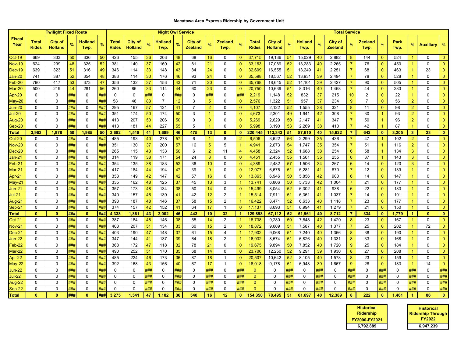## **Macatawa Area Express Ridership by Government Unit**

|                       |                              | <b>Twilight Fixed Route</b>      |     |                        |     |                              |                                  | <b>Night Owl Service</b> |                        |     |                                  |                      |                 |                      |                              |                                  |     |                        | <b>Total Service</b> |                                  |                |                   |                      |              |                      |                  |                |
|-----------------------|------------------------------|----------------------------------|-----|------------------------|-----|------------------------------|----------------------------------|--------------------------|------------------------|-----|----------------------------------|----------------------|-----------------|----------------------|------------------------------|----------------------------------|-----|------------------------|----------------------|----------------------------------|----------------|-------------------|----------------------|--------------|----------------------|------------------|----------------|
| <b>Fiscal</b><br>Year | <b>Total</b><br><b>Rides</b> | <b>City of</b><br><b>Holland</b> |     | <b>Holland</b><br>Twp. | %   | <b>Total</b><br><b>Rides</b> | <b>City of</b><br><b>Holland</b> | %                        | <b>Holland</b><br>Twp. | %   | <b>City of</b><br><b>Zeeland</b> | %                    | Zeeland<br>Twp. | %                    | <b>Total</b><br><b>Rides</b> | <b>City of</b><br><b>Holland</b> |     | <b>Holland</b><br>Twp. | %                    | <b>City of</b><br><b>Zeeland</b> | %              | Zeeland<br>Twp.   | $\frac{9}{6}$        | Park<br>Twp. | %                    | <b>Auxiliary</b> | $\%$           |
| <b>Oct-19</b>         | 669                          | 333                              | 50  | 336                    | 50  | 426                          | 155                              | 36                       | 203                    | 48  | 68                               | 16                   | 0               | $\mathbf{0}$         | 37,715                       | 19,136                           | 51  | 15,029                 | 40                   | 2,882                            | 8              | 144               | $\mathbf{0}$         | 524          |                      | 0                | $\mathbf{0}$   |
| <b>Nov-19</b>         | 624                          | 299                              | 48  | 325                    | 52  | 381                          | 140                              | 37                       | 160                    | 42  | 81                               | 21                   | $\Omega$        | $\mathbf{0}$         | 33.163                       | 17,089                           | 52  | 13,283                 | 40                   | 2,265                            | $\overline{7}$ | 76                | $\Omega$             | 450          |                      | $\mathbf 0$      | $\Omega$       |
| Dec-19                | 639                          | 323                              | 51  | 316                    | 49  | 346                          | 114                              | 33                       | 148                    | 43  | 84                               | 24                   | 0               | $\mathbf{0}$         | 32,609                       | 16,555                           | 51  | 13,249                 | 41                   | 2,251                            | $\overline{7}$ | 68                | $\mathbf{0}$         | 463          | $\mathbf{1}$         | 23               | $\overline{0}$ |
| Jan-20                | 741                          | 387                              | 52  | 354                    | 48  | 383                          | 114                              | 30                       | 176                    | 46  | 93                               | 24                   | $\Omega$        | $\mathbf{0}$         | 35,598                       | 18,567                           | 52  | 13,931                 | 39                   | 2,494                            | $\overline{7}$ | 78                | $\overline{0}$       | 528          | 1                    | $\mathbf 0$      | $\overline{0}$ |
| $Feb-20$              | 790                          | 417                              | 53  | 373                    | 47  | 356                          | 132                              | 37                       | 153                    | 43  | 71                               | 20                   | $\Omega$        | $\mathbf{0}$         | 35,768                       | 18,645                           | 52  | 14,101                 | 39                   | 2,427                            | $\overline{7}$ | 90                | $\overline{0}$       | 505          | 1                    | 0                | $\mathbf{0}$   |
| $Mar-20$              | 500                          | 219                              | 44  | 281                    | 56  | 260                          | 86                               | 33                       | 114                    | 44  | 60                               | 23                   | 0               | $\overline{0}$       | 20,750                       | 10,639                           | 51  | 8,316                  | 40                   | 1,468                            | $\overline{7}$ | 44                | $\overline{0}$       | 283          |                      | $\mathbf 0$      |                |
| Apr-20                | $\mathbf 0$                  | $\mathbf 0$                      | ### | $\mathbf 0$            | ### | $\mathbf 0$                  | $\mathbf 0$                      | ###                      | $\mathbf 0$            | ### | $\mathbf 0$                      | ###                  | 0               | ###                  | 2,219                        | 1,148                            | 52  | 832                    | 37                   | 215                              | 10             | $\overline{2}$    | $\overline{0}$       | 22           | $\overline{1}$       | $\mathbf 0$      | $\mathbf{0}$   |
| May-20                | $\Omega$                     | $\mathbf 0$                      | ### | $\mathbf 0$            | ### | 58                           | 48                               | 83                       | $\overline{7}$         | 12  | 3                                | $5\phantom{.0}$      | $\mathbf 0$     | $\overline{0}$       | 2,576                        | 1,322                            | 51  | 957                    | 37                   | 234                              | 9              | $\overline{7}$    | $\overline{0}$       | 56           | $\overline{2}$       | $\mathbf 0$      | $\Omega$       |
| Jun-20                | $\Omega$                     | $\Omega$                         | ### | $\mathbf{0}$           | ### | 295                          | 167                              | 57                       | 121                    | 41  | $\overline{7}$                   | $\overline{2}$       | $\Omega$        | $\overline{0}$       | 4,107                        | 2,122                            | 52  | 1,555                  | 38                   | 321                              | 8              | 11                | $\mathbf{0}$         | 98           | $\overline{2}$       | $\mathbf{0}$     | $\mathbf{0}$   |
| Jul-20                | $\Omega$                     | 0                                | ### | $\mathbf 0$            | ### | 351                          | 174                              | 50                       | 174                    | 50  | 3                                | $\blacktriangleleft$ | 0               | $\mathbf{0}$         | 4,673                        | 2,301                            | 49  | 1,941                  | 42                   | 308                              | $\overline{7}$ | 30                | -1                   | 93           | $\overline{2}$       | $\mathbf 0$      | $\Omega$       |
| Aug-20                | $\Omega$                     | $\mathbf 0$                      | ### | $\mathbf 0$            | ### | 413                          | 207                              | 50                       | 206                    | 50  | 0                                | $\overline{0}$       | $\Omega$        | $\mathbf{0}$         | 5,269                        | 2,629                            | 50  | 2,147                  | 41                   | 347                              | $\overline{7}$ | 50                | -1                   | 96           | $\overline{2}$       | $\mathbf 0$      | $\Omega$       |
| Sep-20                | $\Omega$                     | 0                                | ### | $\mathbf 0$            | ### | 413                          | 181                              | 44                       | 227                    | 55  | 5                                | $\overline{1}$       | $\mathbf{0}$    | $\overline{0}$       | 5,998                        | 3,190                            | 53  | 2,269                  | 38                   | 410                              | $\overline{7}$ | 42                | $\blacktriangleleft$ | 87           | $\overline{1}$       | 0                | $\Omega$       |
| Total                 | 3,963                        | 1,978                            | 50  | 1,985                  | 50  | 3,682                        | 1,518                            | 41                       | 1,689                  | 46  | 475                              | 13                   | $\Omega$        | $\mathbf{0}$         | 220,445                      | 113,343                          | 51  | 87,610                 | 40                   | 15,622                           | $\overline{7}$ | 642               | $\bf{0}$             | 3,205        | 3                    | 23               | $\mathbf{0}$   |
| $Oct-20$              | $\mathbf 0$                  | $\mathbf 0$                      | ### | $\mathbf 0$            | ### | 485                          | 193                              | 40                       | 278                    | 57  | 6                                | $\overline{1}$       | 8               | $\overline{2}$       | 6,506                        | 3,622                            | 56  | 2,299                  | 35                   | 436                              | $\overline{7}$ | 47                | $\overline{1}$       | 102          | $\overline{2}$       | 0                | $\overline{0}$ |
| $Nov-20$              | $\Omega$                     | $\mathbf 0$                      | ### | $\mathbf 0$            | ### | 351                          | 130                              | 37                       | 200                    | 57  | 16                               | $5\phantom{.0}$      | 5               |                      | 4,941                        | 2,673                            | 54  | 1,747                  | 35                   | 354                              | $\overline{7}$ | 51                | -1                   | 116          | $\overline{2}$       | $\mathbf 0$      | $\Omega$       |
| $Dec-20$              | 0                            | $\Omega$                         | ### | $\mathbf{0}$           | ### | 265                          | 115                              | 43                       | 133                    | 50  | 6                                | $\overline{2}$       | 11              | $\overline{4}$       | 4,458                        | 2,324                            | 52  | 1,688                  | 38                   | 254                              | $6^{\circ}$    | 58                | $\blacktriangleleft$ | 134          | 3                    | $\mathbf 0$      | $\mathbf{0}$   |
| Jan-21                | 0                            | 0                                | ### | $\mathbf 0$            | ### | 314                          | 119                              | 38                       | 171                    | 54  | 24                               | 8                    | 0               | $\mathbf{0}$         | 4,451                        | 2,455                            | 55  | 1,561                  | 35                   | 255                              | $6^{\circ}$    | 37                | $\blacktriangleleft$ | 143          | 3                    | $\mathbf 0$      | $\mathbf{0}$   |
| $=$ eb-21             | $\Omega$                     | 0                                | ### | $\mathbf 0$            | ### | 354                          | 135                              | 38                       | 183                    | 52  | 36                               | 10 <sup>1</sup>      | 0               | $\mathbf{0}$         | 4,389                        | 2,482                            | 57  | 1,506                  | 34                   | 267                              | $6^{\circ}$    | 14                | $\overline{0}$       | 120          | 3                    | 0                | $\Omega$       |
| $Mar-21$              | $\Omega$                     | 0                                | ### | $\mathbf 0$            | ### | 417                          | 184                              | 44                       | 194                    | 47  | 39                               | $\overline{9}$       | $\mathbf{0}$    | $\mathbf{0}$         | 12,977                       | 6,675                            | 51  | 5,281                  | 41                   | 870                              | $\overline{7}$ | $12 \overline{ }$ | $\mathbf{0}$         | 139          | 1                    | 0                | $\mathbf{0}$   |
| Apr-21                | $\Omega$                     | $\Omega$                         | ### | $\Omega$               | ### | 353                          | 149                              | 42                       | 147                    | 42  | 57                               | 16                   | $\mathbf{0}$    | $\Omega$             | 13,863                       | 6,946                            | 50  | 5,856                  | 42                   | 900                              | $6^{\circ}$    | 14                | $\mathbf{0}$         | 147          |                      | 0                | $\Omega$       |
| May-21                | $\Omega$                     | $\mathbf 0$                      | ### | $\mathbf 0$            | ### | 335                          | 162                              | 48                       | 125                    | 37  | 45                               | 13                   | 3               |                      | 13,741                       | 6,806                            | 50  | 5,733                  | 42                   | 1,004                            | $\overline{7}$ | 21                | $\overline{0}$       | 177          | $\overline{1}$       | $\mathbf 0$      | $\mathbf{0}$   |
| Jun-21                | $\Omega$                     | $\mathbf 0$                      | ### | $\Omega$               | ### | 357                          | 173                              | 48                       | 134                    | 38  | 50                               | 14                   | $\Omega$        | $\Omega$             | 15,499                       | 8,054                            | 52  | 6,302                  | 41                   | 938                              | $6^{\circ}$    | 22                | $\overline{0}$       | 183          |                      | $\mathbf 0$      | $\mathbf{0}$   |
| Jul-21                | $\Omega$                     | $\Omega$                         | ### | $\Omega$               | ### | 340                          | 157                              | 46                       | 139                    | 41  | 42                               | 12                   | $\overline{2}$  |                      | 15,514                       | 7,911                            | 51  | 6,361                  | 41                   | 1,037                            | $\overline{7}$ | 14                | $\mathbf{0}$         | 191          |                      | $\mathbf 0$      | $\mathbf{0}$   |
| Aug-21                | $\mathbf{0}$                 | $\mathbf 0$                      | ### | $\mathbf 0$            | ### | 393                          | 187                              | 48                       | 146                    | 37  | 58                               | 15                   | $\overline{2}$  |                      | 16,422                       | 8,471                            | 52  | 6,633                  | 40                   | 1,118                            | $\overline{7}$ | 23                | $\mathbf{0}$         | 177          | $\overline{1}$       | $\mathbf 0$      | $\overline{0}$ |
| Sep-21                | $\mathbf 0$                  | $\mathbf 0$                      | ### | $\mathbf 0$            | ### | 374                          | 157                              | 42                       | 152                    | 41  | 64                               | 17                   | $\mathbf{1}$    | $\overline{0}$       | 17,137                       | 8,693                            | 51  | 6,994                  | 41                   | 1,279                            | $\overline{7}$ | 21                | $\Omega$             | 150          | $\overline{1}$       | $\mathbf 0$      | $\Omega$       |
| Total                 | $\bf{0}$                     | $\mathbf{0}$                     | ### | $\mathbf{0}$           | ### | 4,338                        | 1.861                            | 43                       | 2,002                  | 46  | 443                              | 10                   | 32 <sub>2</sub> | $\blacktriangleleft$ | 129,898                      | 67,112                           | -52 | 51,961                 | 40                   | 8,712                            | $\overline{7}$ | 334               | $\mathbf{0}$         | 1,779        | $\blacktriangleleft$ | $\mathbf{0}$     | $\mathbf{0}$   |
| $Oct-21$              | 0                            | $\Omega$                         | ### | $\mathbf{0}$           | ### | 387                          | 184                              | 48                       | 146                    | 38  | 55                               | 14                   | $\overline{2}$  |                      | 18,738                       | 9,280                            | 50  | 7,848                  | 42                   | 1,420                            | 8              | 23                | $\theta$             | 167          |                      | $\mathbf{0}$     | $\mathbf{0}$   |
| <b>Nov-21</b>         | $\Omega$                     | $\Omega$                         | ### | $\Omega$               | ### | 403                          | 207                              | 51                       | 134                    | 33  | 60                               | 15                   | 2               | $\mathbf{0}$         | 18,872                       | 9,609                            | 51  | 7,587                  | 40                   | 1,377                            | $\overline{7}$ | 25                | $\overline{0}$       | 202          |                      | 72               | $\Omega$       |
| $Dec-21$              | $\Omega$                     | $\mathbf 0$                      | ### | $\mathbf 0$            | ### | 403                          | 190                              | 47                       | 148                    | 37  | 61                               | 15                   | 4               |                      | 17,902                       | 9,068                            | 51  | 7,240                  | 40                   | 1,366                            | 8 <sup>°</sup> | 38                | $\overline{0}$       | 190          |                      | $\mathbf 0$      | $\Omega$       |
| Jan-22                | $\Omega$                     | 0                                | ### | 0                      | ### | 347                          | 144                              | 41                       | 137                    | 39  | 64                               | 18                   | $\overline{2}$  |                      | 16,932                       | 8,574                            | 51  | 6,826                  | 40                   | 1,331                            | 8              | 33                | $\overline{0}$       | 168          |                      | 0                | $\mathbf{0}$   |
| $=$ eb-22             | $\Omega$                     | $\Omega$                         | ### | $\Omega$               | ### | 368                          | 172                              | 47                       | 118                    | 32  | 78                               | 21                   | $\mathbf{0}$    | $\mathbf{0}$         | 19,675                       | 9,894                            | 50  | 7,852                  | 40                   | 1,720                            | $9^{\circ}$    | 25                | $\overline{0}$       | 184          |                      | $\mathbf 0$      | $\mathbf{0}$   |
| $Mar-22$              | $\Omega$                     | $\mathbf 0$                      | ### | $\mathbf 0$            | ### | 490                          | 252                              | 51                       | 170                    | 35  | 68                               | 14                   | 0               | $\mathbf{0}$         | 23,706                       | 12,250                           | 52  | 9,291                  | 39                   | 1,930                            | 8 <sup>°</sup> | 27                | $\overline{0}$       | 208          | $\overline{1}$       | $\mathbf 0$      | $\mathbf{0}$   |
| $\text{Ar-}22$        |                              | $\Omega$                         | ### | $\Omega$               | ### | 485                          | 224                              | 46                       | 173                    | 36  | 87                               | 18                   | $\mathbf 1$     | $\overline{0}$       | 20,507                       | 10,642                           | 52  | 8,105                  | 40                   | 1,578                            | 8              | 23                | $\overline{0}$       | 159          | 1                    | $\mathbf 0$      | $\Omega$       |
| $May-22$              | $\Omega$                     | 0                                | ### | $\mathbf 0$            | ### | 392                          | 168                              | 43                       | 156                    | 40  | 67                               | 17                   | $\overline{1}$  | $\mathbf{0}$         | 18,018                       | 9,178                            | 51  | 6,948                  | 39                   | 1,667                            | 9              | 28                | $\mathbf{0}$         | 183          | -1                   | 14               | $\overline{0}$ |
| Jun-22                | $\Omega$                     | $\mathbf 0$                      | ### | $\Omega$               | ### | 0                            | $\Omega$                         | ###                      | $\Omega$               | ### | $\Omega$                         | ###                  | $\mathbf{0}$    | ###                  | $\mathbf{0}$                 | 0                                | ### | 0                      | ###                  | 0                                | ###            | $\mathbf 0$       | ###                  | 0            | ###                  | $\mathbf 0$      | ###            |
| Jul-22                | $\Omega$                     | $\mathbf 0$                      | ### | $\mathbf 0$            | ### | $\mathbf 0$                  | $\Omega$                         | ###                      | $\mathbf{0}$           | ### | 0                                | ###                  | $\mathbf{0}$    | ###                  | $\Omega$                     | $\Omega$                         | ### | $\mathbf 0$            | ###                  | $\mathbf 0$                      | ###            | 0                 | ###                  | 0            | ###                  | $\mathbf{0}$     | ###            |
| Aug-22                | $\Omega$                     | $\Omega$                         | ### | $\mathbf{0}$           | ### | $\Omega$                     | $\Omega$                         | ###                      | $\Omega$               | ### | $\Omega$                         | ###                  | $\Omega$        | ###                  | $\Omega$                     | $\Omega$                         | ### | $\Omega$               | ###                  | $\Omega$                         | ###            | $\Omega$          | ###                  | 0            | ###                  | $\mathbf{0}$     | ###            |
| Sep-22                | 0                            | 0                                | ### | $\Omega$               | ### | $\mathbf 0$                  | 0                                | ###                      | 0                      | ### | 0                                | ###                  | 0               | ###                  | $\Omega$                     | $\mathbf 0$                      | ### | $\mathbf 0$            | ###                  | $\Omega$                         | ###            | 0                 | ###                  | 0            | ###                  | 0                | ###            |
| <b>Total</b>          | $\bf{0}$                     | $\Omega$                         | ### | $\bf{0}$               | ### | 3.275                        | 1,541                            | 47                       | 1.182                  | 36  | 540                              | 16                   | 12              | $\mathbf{0}$         | 154,350                      | 78,495                           | 51  | 61.697                 | 40                   | 12,389                           | 8              | 222               | $\mathbf{0}$         | 1,461        | $\blacktriangleleft$ | 86               | $\mathbf{0}$   |

| <b>Historical</b><br><b>Ridership</b> | <b>Historical</b><br><b>Ridership Through</b><br><b>FY2022</b> |
|---------------------------------------|----------------------------------------------------------------|
| FY2000-FY2021                         |                                                                |
| 6,792,889                             | 6,947,239                                                      |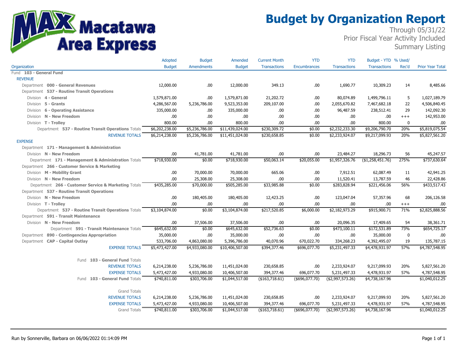

# **Budget by Organization Report**

Through 05/31/22 Prior Fiscal Year Activity Included Summary Listing

|                                                      | Adopted        | <b>Budget</b>     | Amended         | <b>Current Month</b> | <b>YTD</b>        | <b>YTD</b>          | Budget - YTD % Used/ |          |                         |
|------------------------------------------------------|----------------|-------------------|-----------------|----------------------|-------------------|---------------------|----------------------|----------|-------------------------|
| Organization                                         | <b>Budget</b>  | <b>Amendments</b> | <b>Budget</b>   | <b>Transactions</b>  | Encumbrances      | <b>Transactions</b> | <b>Transactions</b>  | Rec'd    | <b>Prior Year Total</b> |
| Fund 103 - General Fund                              |                |                   |                 |                      |                   |                     |                      |          |                         |
| <b>REVENUE</b>                                       |                |                   |                 |                      |                   |                     |                      |          |                         |
| Department 000 - General Revenues                    | 12,000.00      | .00.              | 12,000.00       | 349.13               | .00               | 1,690.77            | 10,309.23            | 14       | 8,485.66                |
| Department 537 - Routine Transit Operations          |                |                   |                 |                      |                   |                     |                      |          |                         |
| Division 4 - General                                 | 1,579,871.00   | .00.              | 1,579,871.00    | 21,202.72            | .00               | 80,074.89           | 1,499,796.11         | 5        | 1,027,189.79            |
| Division 5 - Grants                                  | 4,286,567.00   | 5,236,786.00      | 9,523,353.00    | 209,107.00           | .00               | 2,055,670.82        | 7,467,682.18         | 22       | 4,506,840.45            |
| Division 6 - Operating Assistance                    | 335,000.00     | .00.              | 335,000.00      | .00.                 | .00               | 96,487.59           | 238,512.41           | 29       | 142,092.30              |
| Division N - New Freedom                             | .00            | .00.              | .00.            | .00.                 | .00               | .00                 | .00                  | $^{+++}$ | 142,953.00              |
| Division T - Trolley                                 | 800.00         | .00.              | 800.00          | .00.                 | .00               | .00.                | 800.00               | 0        | .00.                    |
| Department 537 - Routine Transit Operations Totals   | \$6,202,238.00 | \$5,236,786.00    | \$11,439,024.00 | \$230,309.72         | \$0.00            | \$2,232,233.30      | \$9,206,790.70       | 20%      | \$5,819,075.54          |
| <b>REVENUE TOTALS</b>                                | \$6,214,238.00 | \$5,236,786.00    | \$11,451,024.00 | \$230,658.85         | \$0.00            | \$2,233,924.07      | \$9,217,099.93       | 20%      | \$5,827,561.20          |
| <b>EXPENSE</b>                                       |                |                   |                 |                      |                   |                     |                      |          |                         |
| Department 171 - Management & Administration         |                |                   |                 |                      |                   |                     |                      |          |                         |
| Division N - New Freedom                             | .00.           | 41,781.00         | 41,781.00       | .00                  | .00               | 23,484.27           | 18,296.73            | 56       | 45,247.57               |
| Department 171 - Management & Administration Totals  | \$718,930.00   | \$0.00            | \$718,930.00    | \$50,063.14          | \$20,055.00       | \$1,957,326.76      | (\$1,258,451.76)     | 275%     | \$737,630.64            |
| Department 266 - Customer Service & Marketing        |                |                   |                 |                      |                   |                     |                      |          |                         |
| Division M - Mobility Grant                          | .00            | 70,000.00         | 70,000.00       | 665.06               | .00               | 7,912.51            | 62,087.49            | 11       | 42,941.25               |
| Division N - New Freedom                             | .00            | 25,308.00         | 25,308.00       | .00.                 | .00               | 11,520.41           | 13,787.59            | 46       | 22,428.86               |
| Department 266 - Customer Service & Marketing Totals | \$435,285.00   | \$70,000.00       | \$505,285.00    | \$33,985.88          | \$0.00            | \$283,828.94        | \$221,456.06         | 56%      | \$433,517.43            |
| Department 537 - Routine Transit Operations          |                |                   |                 |                      |                   |                     |                      |          |                         |
| Division N - New Freedom                             | .00            | 180,405.00        | 180,405.00      | 12,423.25            | .00               | 123,047.04          | 57,357.96            | 68       | 206,126.58              |
| Division T - Trolley                                 | .00            | .00               | .00             | .00.                 | .00               | .00.                | .00                  | $^{+++}$ | .00                     |
| Department 537 - Routine Transit Operations Totals   | \$3,104,874.00 | \$0.00            | \$3,104,874.00  | \$217,520.85         | \$6,000.00        | \$2,182,973.29      | \$915,900.71         | 71%      | \$2,825,888.56          |
| Department 591 - Transit Maintenance                 |                |                   |                 |                      |                   |                     |                      |          |                         |
| Division N - New Freedom                             | .00            | 37,506.00         | 37,506.00       | .00                  | .00               | 20,096.35           | 17,409.65            | 54       | 38,361.71               |
| Department 591 - Transit Maintenance Totals          | \$645,632.00   | \$0.00            | \$645,632.00    | \$52,736.63          | \$0.00            | \$473,100.11        | \$172,531.89         | 73%      | \$654,725.17            |
| Department 890 - Contingencies Appropriation         | 35,000.00      | .00.              | 35,000.00       | .00.                 | .00               | .00                 | 35,000.00            | 0        | .00                     |
| Department CAP - Capital Outlay                      | 533,706.00     | 4,863,080.00      | 5,396,786.00    | 40,070.96            | 670,022.70        | 334,268.23          | 4,392,495.07         | 19       | 135,787.15              |
| <b>EXPENSE TOTALS</b>                                | \$5,473,427.00 | \$4,933,080.00    | \$10,406,507.00 | \$394,377.46         | \$696,077.70      | \$5,231,497.33      | \$4,478,931.97       | 57%      | \$4,787,548.95          |
|                                                      |                |                   |                 |                      |                   |                     |                      |          |                         |
| Fund 103 - General Fund Totals                       |                |                   |                 |                      |                   |                     |                      |          |                         |
| <b>REVENUE TOTALS</b>                                | 6,214,238.00   | 5,236,786.00      | 11,451,024.00   | 230,658.85           | .00               | 2,233,924.07        | 9,217,099.93         | 20%      | 5,827,561.20            |
| <b>EXPENSE TOTALS</b>                                | 5,473,427.00   | 4,933,080.00      | 10,406,507.00   | 394,377.46           | 696,077.70        | 5,231,497.33        | 4,478,931.97         | 57%      | 4,787,548.95            |
| Fund 103 - General Fund Totals                       | \$740,811.00   | \$303,706.00      | \$1,044,517.00  | (\$163,718.61)       | $(*696,077.70)$   | (\$2,997,573.26)    | \$4,738,167.96       |          | \$1,040,012.25          |
|                                                      |                |                   |                 |                      |                   |                     |                      |          |                         |
| <b>Grand Totals</b>                                  |                |                   |                 |                      |                   |                     |                      |          |                         |
| <b>REVENUE TOTALS</b>                                | 6,214,238.00   | 5,236,786.00      | 11,451,024.00   | 230,658.85           | .00               | 2,233,924.07        | 9,217,099.93         | 20%      | 5,827,561.20            |
| <b>EXPENSE TOTALS</b>                                | 5,473,427.00   | 4,933,080.00      | 10,406,507.00   | 394,377.46           | 696,077.70        | 5,231,497.33        | 4,478,931.97         | 57%      | 4,787,548.95            |
| <b>Grand Totals</b>                                  | \$740,811.00   | \$303,706.00      | \$1,044,517.00  | ( \$163, 718.61)     | $($ \$696,077.70) | ( \$2,997,573.26)   | \$4,738,167.96       |          | \$1,040,012.25          |
|                                                      |                |                   |                 |                      |                   |                     |                      |          |                         |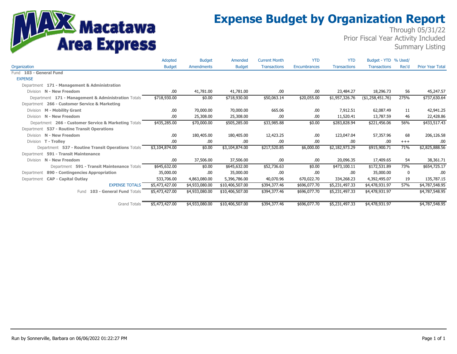# **MARIS Macatawa**<br>Area Express

# **Expense Budget by Organization Report**

Through 05/31/22 Prior Fiscal Year Activity Included Summary Listing

|                                                      | Adopted        | <b>Budget</b>     | Amended         | <b>Current Month</b> | <b>YTD</b>   | <b>YTD</b>          | Budget - YTD % Used/ |       |                         |
|------------------------------------------------------|----------------|-------------------|-----------------|----------------------|--------------|---------------------|----------------------|-------|-------------------------|
| Organization                                         | <b>Budget</b>  | <b>Amendments</b> | <b>Budget</b>   | <b>Transactions</b>  | Encumbrances | <b>Transactions</b> | <b>Transactions</b>  | Rec'd | <b>Prior Year Total</b> |
| Fund 103 - General Fund                              |                |                   |                 |                      |              |                     |                      |       |                         |
| <b>EXPENSE</b>                                       |                |                   |                 |                      |              |                     |                      |       |                         |
| Department 171 - Management & Administration         |                |                   |                 |                      |              |                     |                      |       |                         |
| Division N - New Freedom                             | .00.           | 41,781.00         | 41,781.00       | .00.                 | .00          | 23,484.27           | 18,296.73            | 56    | 45,247.57               |
| Department 171 - Management & Administration Totals  | \$718,930.00   | \$0.00            | \$718,930.00    | \$50,063.14          | \$20,055.00  | \$1,957,326.76      | (\$1,258,451.76)     | 275%  | \$737,630.64            |
| Department 266 - Customer Service & Marketing        |                |                   |                 |                      |              |                     |                      |       |                         |
| Division M - Mobility Grant                          | .00            | 70,000.00         | 70,000.00       | 665.06               | .00          | 7,912.51            | 62,087.49            | 11    | 42,941.25               |
| Division N - New Freedom                             | .00            | 25,308.00         | 25,308.00       | .00                  | .00          | 11,520.41           | 13,787.59            | 46    | 22,428.86               |
| Department 266 - Customer Service & Marketing Totals | \$435,285.00   | \$70,000.00       | \$505,285.00    | \$33,985.88          | \$0.00       | \$283,828.94        | \$221,456.06         | 56%   | \$433,517.43            |
| Department 537 - Routine Transit Operations          |                |                   |                 |                      |              |                     |                      |       |                         |
| Division N - New Freedom                             | .00            | 180,405.00        | 180,405.00      | 12,423.25            | .00          | 123,047.04          | 57,357.96            | 68    | 206,126.58              |
| Division T - Trolley                                 | .00            | .00               | .00             | .00                  | .00          | .00                 | .00                  | $+++$ | .00                     |
| Department 537 - Routine Transit Operations Totals   | \$3,104,874.00 | \$0.00            | \$3,104,874.00  | \$217,520.85         | \$6,000.00   | \$2,182,973.29      | \$915,900.71         | 71%   | \$2,825,888.56          |
| Department 591 - Transit Maintenance                 |                |                   |                 |                      |              |                     |                      |       |                         |
| Division N - New Freedom                             | .00            | 37,506.00         | 37,506.00       | .00.                 | .00          | 20,096.35           | 17,409.65            | 54    | 38,361.71               |
| Department 591 - Transit Maintenance Totals          | \$645,632.00   | \$0.00            | \$645,632.00    | \$52,736.63          | \$0.00       | \$473,100.11        | \$172,531.89         | 73%   | \$654,725.17            |
| Department 890 - Contingencies Appropriation         | 35,000.00      | .00               | 35,000.00       | .00                  | .00          | .00                 | 35,000.00            | 0     | .00                     |
| Department CAP - Capital Outlay                      | 533,706.00     | 4,863,080.00      | 5,396,786.00    | 40,070.96            | 670,022.70   | 334,268.23          | 4,392,495.07         | 19    | 135,787.15              |
| <b>EXPENSE TOTALS</b>                                | \$5,473,427.00 | \$4,933,080.00    | \$10,406,507.00 | \$394,377.46         | \$696,077.70 | \$5,231,497.33      | \$4,478,931.97       | 57%   | \$4,787,548.95          |
| Fund 103 - General Fund Totals                       | \$5,473,427.00 | \$4,933,080.00    | \$10,406,507.00 | \$394,377.46         | \$696,077.70 | \$5,231,497.33      | \$4,478,931.97       |       | \$4,787,548.95          |
| <b>Grand Totals</b>                                  | \$5,473,427.00 | \$4,933,080.00    | \$10,406,507.00 | \$394,377.46         | \$696,077.70 | \$5,231,497.33      | \$4,478,931.97       |       | \$4,787,548.95          |